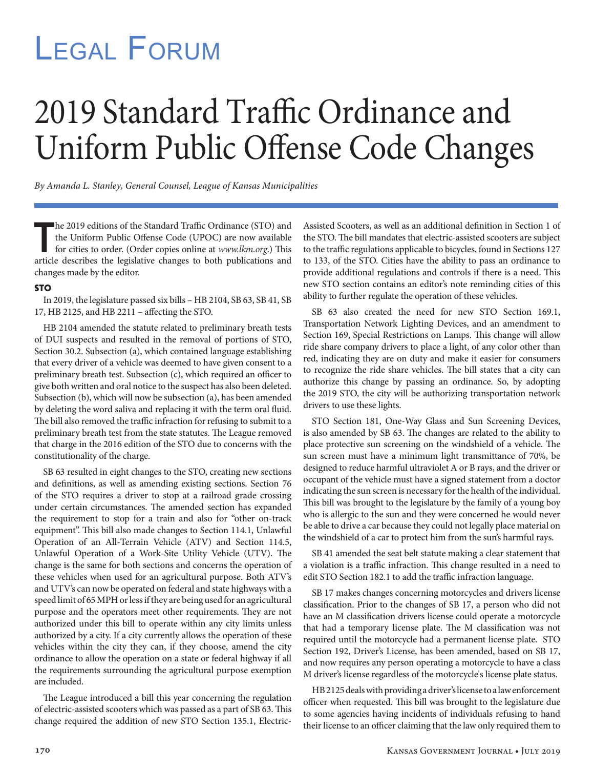## Legal Forum

## 2019 Standard Traffic Ordinance and Uniform Public Offense Code Changes

*By Amanda L. Stanley, General Counsel, League of Kansas Municipalities* 

he 2019 editions of the Standard Traffic Ordinance (STO) and<br>the Uniform Public Offense Code (UPOC) are now available<br>for cities to order. (Order copies online at  $www.lkm.org$ ) This<br>article describes the legislative changes to b he 2019 editions of the Standard Traffic Ordinance (STO) and the Uniform Public Offense Code (UPOC) are now available for cities to order. (Order copies online at *www.lkm.org*.) This changes made by the editor.

## **STO**

In 2019, the legislature passed six bills – HB 2104, SB 63, SB 41, SB 17, HB 2125, and HB 2211 – affecting the STO.

HB 2104 amended the statute related to preliminary breath tests of DUI suspects and resulted in the removal of portions of STO, Section 30.2. Subsection (a), which contained language establishing that every driver of a vehicle was deemed to have given consent to a preliminary breath test. Subsection (c), which required an officer to give both written and oral notice to the suspect has also been deleted. Subsection (b), which will now be subsection (a), has been amended by deleting the word saliva and replacing it with the term oral fluid. The bill also removed the traffic infraction for refusing to submit to a preliminary breath test from the state statutes. The League removed that charge in the 2016 edition of the STO due to concerns with the constitutionality of the charge.

SB 63 resulted in eight changes to the STO, creating new sections and definitions, as well as amending existing sections. Section 76 of the STO requires a driver to stop at a railroad grade crossing under certain circumstances. The amended section has expanded the requirement to stop for a train and also for "other on-track equipment". This bill also made changes to Section 114.1, Unlawful Operation of an All-Terrain Vehicle (ATV) and Section 114.5, Unlawful Operation of a Work-Site Utility Vehicle (UTV). The change is the same for both sections and concerns the operation of these vehicles when used for an agricultural purpose. Both ATV's and UTV's can now be operated on federal and state highways with a speed limit of 65 MPH or less if they are being used for an agricultural purpose and the operators meet other requirements. They are not authorized under this bill to operate within any city limits unless authorized by a city. If a city currently allows the operation of these vehicles within the city they can, if they choose, amend the city ordinance to allow the operation on a state or federal highway if all the requirements surrounding the agricultural purpose exemption are included.

The League introduced a bill this year concerning the regulation of electric-assisted scooters which was passed as a part of SB 63. This change required the addition of new STO Section 135.1, ElectricAssisted Scooters, as well as an additional definition in Section 1 of the STO. The bill mandates that electric-assisted scooters are subject to the traffic regulations applicable to bicycles, found in Sections 127 to 133, of the STO. Cities have the ability to pass an ordinance to provide additional regulations and controls if there is a need. This new STO section contains an editor's note reminding cities of this ability to further regulate the operation of these vehicles.

SB 63 also created the need for new STO Section 169.1, Transportation Network Lighting Devices, and an amendment to Section 169, Special Restrictions on Lamps. This change will allow ride share company drivers to place a light, of any color other than red, indicating they are on duty and make it easier for consumers to recognize the ride share vehicles. The bill states that a city can authorize this change by passing an ordinance. So, by adopting the 2019 STO, the city will be authorizing transportation network drivers to use these lights.

STO Section 181, One-Way Glass and Sun Screening Devices, is also amended by SB 63. The changes are related to the ability to place protective sun screening on the windshield of a vehicle. The sun screen must have a minimum light transmittance of 70%, be designed to reduce harmful ultraviolet A or B rays, and the driver or occupant of the vehicle must have a signed statement from a doctor indicating the sun screen is necessary for the health of the individual. This bill was brought to the legislature by the family of a young boy who is allergic to the sun and they were concerned he would never be able to drive a car because they could not legally place material on the windshield of a car to protect him from the sun's harmful rays.

SB 41 amended the seat belt statute making a clear statement that a violation is a traffic infraction. This change resulted in a need to edit STO Section 182.1 to add the traffic infraction language.

SB 17 makes changes concerning motorcycles and drivers license classification. Prior to the changes of SB 17, a person who did not have an M classification drivers license could operate a motorcycle that had a temporary license plate. The M classification was not required until the motorcycle had a permanent license plate. STO Section 192, Driver's License, has been amended, based on SB 17, and now requires any person operating a motorcycle to have a class M driver's license regardless of the motorcycle's license plate status.

HB 2125 deals with providing a driver's license to a law enforcement officer when requested. This bill was brought to the legislature due to some agencies having incidents of individuals refusing to hand their license to an officer claiming that the law only required them to